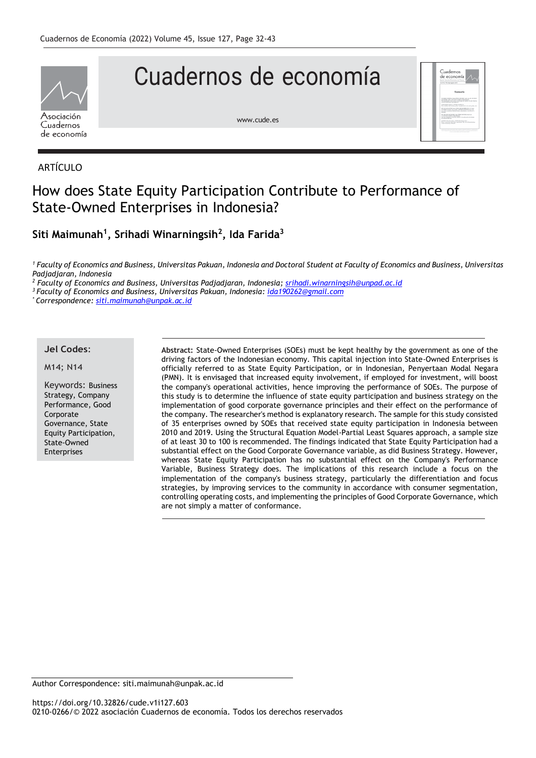

# Cuadernos de economía

[www.cude.es](http://www.cude.es/)



### ARTÍCULO

## How does State Equity Participation Contribute to Performance of State-Owned Enterprises in Indonesia?

**Siti Maimunah<sup>1</sup> , Srihadi Winarningsih<sup>2</sup> , Ida Farida<sup>3</sup>**

*<sup>1</sup> Faculty of Economics and Business, Universitas Pakuan, Indonesia and Doctoral Student at Faculty of Economics and Business, Universitas Padjadjaran, Indonesia*

*<sup>2</sup> Faculty of Economics and Business, Universitas Padjadjaran, Indonesia; [srihadi.winarningsih@unpad.ac.id](mailto:srihadi.winarningsih@unpad.ac.id)*

*<sup>3</sup>Faculty of Economics and Business, Universitas Pakuan, Indonesia: [ida190262@gmail.com](mailto:ida190262@gmail.com)*

*\* Correspondence[: siti.maimunah@unpak.ac.id](mailto:siti.maimunah@unpak.ac.id)*

#### **Jel Codes**:

#### M14; N14

Keywords: Business Strategy, Company Performance, Good Corporate Governance, State Equity Participation, State-Owned Enterprises

**Abstract:** State-Owned Enterprises (SOEs) must be kept healthy by the government as one of the driving factors of the Indonesian economy. This capital injection into State-Owned Enterprises is officially referred to as State Equity Participation, or in Indonesian, Penyertaan Modal Negara (PMN). It is envisaged that increased equity involvement, if employed for investment, will boost the company's operational activities, hence improving the performance of SOEs. The purpose of this study is to determine the influence of state equity participation and business strategy on the implementation of good corporate governance principles and their effect on the performance of the company. The researcher's method is explanatory research. The sample for this study consisted of 35 enterprises owned by SOEs that received state equity participation in Indonesia between 2010 and 2019. Using the Structural Equation Model-Partial Least Squares approach, a sample size of at least 30 to 100 is recommended. The findings indicated that State Equity Participation had a substantial effect on the Good Corporate Governance variable, as did Business Strategy. However, whereas State Equity Participation has no substantial effect on the Company's Performance Variable, Business Strategy does. The implications of this research include a focus on the implementation of the company's business strategy, particularly the differentiation and focus strategies, by improving services to the community in accordance with consumer segmentation, controlling operating costs, and implementing the principles of Good Corporate Governance, which are not simply a matter of conformance.

Author Correspondence: siti.maimunah@unpak.ac.id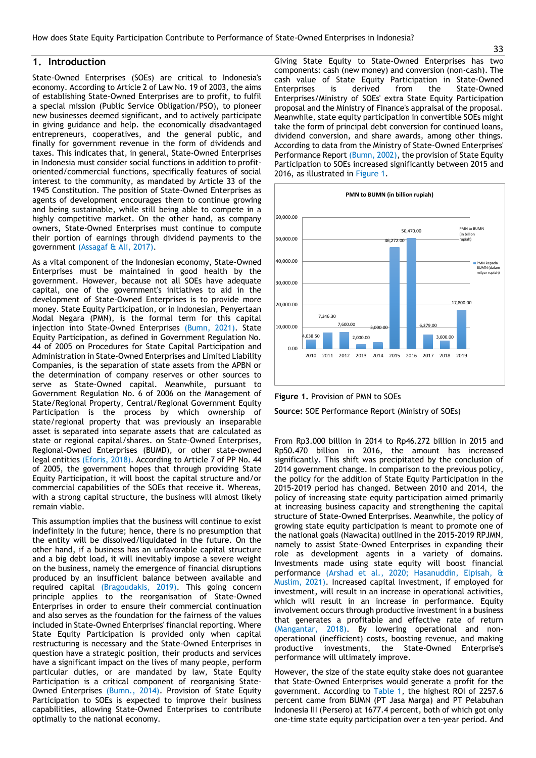#### **1. Introduction**

State-Owned Enterprises (SOEs) are critical to Indonesia's economy. According to Article 2 of Law No. 19 of 2003, the aims of establishing State-Owned Enterprises are to profit, to fulfil a special mission (Public Service Obligation/PSO), to pioneer new businesses deemed significant, and to actively participate in giving guidance and help. the economically disadvantaged entrepreneurs, cooperatives, and the general public, and finally for government revenue in the form of dividends and taxes. This indicates that, in general, State-Owned Enterprises in Indonesia must consider social functions in addition to profitoriented/commercial functions, specifically features of social interest to the community, as mandated by Article 33 of the 1945 Constitution. The position of State-Owned Enterprises as agents of development encourages them to continue growing and being sustainable, while still being able to compete in a highly competitive market. On the other hand, as company owners, State-Owned Enterprises must continue to compute their portion of earnings through dividend payments to the government (Assagaf & Ali, 2017).

As a vital component of the Indonesian economy, State-Owned Enterprises must be maintained in good health by the government. However, because not all SOEs have adequate capital, one of the government's initiatives to aid in the development of State-Owned Enterprises is to provide more money. State Equity Participation, or in Indonesian, Penyertaan Modal Negara (PMN), is the formal term for this capital injection into State-Owned Enterprises (Bumn, 2021). State Equity Participation, as defined in Government Regulation No. 44 of 2005 on Procedures for State Capital Participation and Administration in State-Owned Enterprises and Limited Liability Companies, is the separation of state assets from the APBN or the determination of company reserves or other sources to serve as State-Owned capital. Meanwhile, pursuant to Government Regulation No. 6 of 2006 on the Management of State/Regional Property, Central/Regional Government Equity Participation is the process by which ownership of state/regional property that was previously an inseparable asset is separated into separate assets that are calculated as state or regional capital/shares. on State-Owned Enterprises, Regional-Owned Enterprises (BUMD), or other state-owned legal entities (Eforis, 2018). According to Article 7 of PP No. 44 of 2005, the government hopes that through providing State Equity Participation, it will boost the capital structure and/or commercial capabilities of the SOEs that receive it. Whereas, with a strong capital structure, the business will almost likely remain viable.

This assumption implies that the business will continue to exist indefinitely in the future; hence, there is no presumption that the entity will be dissolved/liquidated in the future. On the other hand, if a business has an unfavorable capital structure and a big debt load, it will inevitably impose a severe weight on the business, namely the emergence of financial disruptions produced by an insufficient balance between available and required capital (Bragoudakis, 2019). This going concern principle applies to the reorganisation of State-Owned Enterprises in order to ensure their commercial continuation and also serves as the foundation for the fairness of the values included in State-Owned Enterprises' financial reporting. Where State Equity Participation is provided only when capital restructuring is necessary and the State-Owned Enterprises in question have a strategic position, their products and services have a significant impact on the lives of many people, perform particular duties, or are mandated by law, State Equity Participation is a critical component of reorganising State-Owned Enterprises (Bumn., 2014). Provision of State Equity Participation to SOEs is expected to improve their business capabilities, allowing State-Owned Enterprises to contribute optimally to the national economy.

Giving State Equity to State-Owned Enterprises has two components: cash (new money) and conversion (non-cash). The cash value of State Equity Participation in State-Owned Enterprises is derived from the State-Owned Enterprises/Ministry of SOEs' extra State Equity Participation proposal and the Ministry of Finance's appraisal of the proposal. Meanwhile, state equity participation in convertible SOEs might take the form of principal debt conversion for continued loans, dividend conversion, and share awards, among other things. According to data from the Ministry of State-Owned Enterprises' Performance Report (Bumn, 2002), the provision of State Equity Participation to SOEs increased significantly between 2015 and 2016, as illustrated in Figure 1.



**Figure 1.** Provision of PMN to SOEs

**Source:** SOE Performance Report (Ministry of SOEs)

From Rp3.000 billion in 2014 to Rp46.272 billion in 2015 and Rp50.470 billion in 2016, the amount has increased significantly. This shift was precipitated by the conclusion of 2014 government change. In comparison to the previous policy, the policy for the addition of State Equity Participation in the 2015-2019 period has changed. Between 2010 and 2014, the policy of increasing state equity participation aimed primarily at increasing business capacity and strengthening the capital structure of State-Owned Enterprises. Meanwhile, the policy of growing state equity participation is meant to promote one of the national goals (Nawacita) outlined in the 2015-2019 RPJMN, namely to assist State-Owned Enterprises in expanding their role as development agents in a variety of domains. Investments made using state equity will boost financial performance (Arshad et al., 2020; Hasanuddin, Elpisah, & Muslim, 2021). Increased capital investment, if employed for investment, will result in an increase in operational activities, which will result in an increase in performance. Equity involvement occurs through productive investment in a business that generates a profitable and effective rate of return (Mangantar, 2018). By lowering operational and nonoperational (inefficient) costs, boosting revenue, and making productive investments, the State-Owned Enterprise's performance will ultimately improve.

However, the size of the state equity stake does not guarantee that State-Owned Enterprises would generate a profit for the government. According to Table 1, the highest ROI of 2257.6 percent came from BUMN (PT Jasa Marga) and PT Pelabuhan Indonesia III (Persero) at 1677.4 percent, both of which got only one-time state equity participation over a ten-year period. And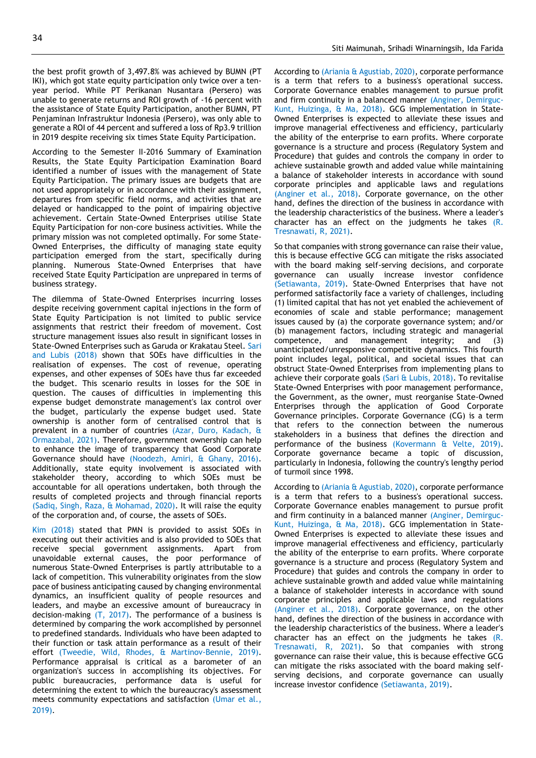year period. While PT Perikanan Nusantara (Persero) was unable to generate returns and ROI growth of -16 percent with the assistance of State Equity Participation, another BUMN, PT Penjaminan Infrastruktur Indonesia (Persero), was only able to generate a ROI of 44 percent and suffered a loss of Rp3.9 trillion in 2019 despite receiving six times State Equity Participation.

According to the Semester II-2016 Summary of Examination Results, the State Equity Participation Examination Board identified a number of issues with the management of State Equity Participation. The primary issues are budgets that are not used appropriately or in accordance with their assignment, departures from specific field norms, and activities that are delayed or handicapped to the point of impairing objective achievement. Certain State-Owned Enterprises utilise State Equity Participation for non-core business activities. While the primary mission was not completed optimally. For some State-Owned Enterprises, the difficulty of managing state equity participation emerged from the start, specifically during planning. Numerous State-Owned Enterprises that have received State Equity Participation are unprepared in terms of business strategy.

The dilemma of State-Owned Enterprises incurring losses despite receiving government capital injections in the form of State Equity Participation is not limited to public service assignments that restrict their freedom of movement. Cost structure management issues also result in significant losses in State-Owned Enterprises such as Garuda or Krakatau Steel. Sari and Lubis (2018) shown that SOEs have difficulties in the realisation of expenses. The cost of revenue, operating expenses, and other expenses of SOEs have thus far exceeded the budget. This scenario results in losses for the SOE in question. The causes of difficulties in implementing this expense budget demonstrate management's lax control over the budget, particularly the expense budget used. State ownership is another form of centralised control that is prevalent in a number of countries (Azar, Duro, Kadach, & Ormazabal, 2021). Therefore, government ownership can help to enhance the image of transparency that Good Corporate Governance should have (Noodezh, Amiri, & Ghany, 2016). Additionally, state equity involvement is associated with stakeholder theory, according to which SOEs must be accountable for all operations undertaken, both through the results of completed projects and through financial reports (Sadiq, Singh, Raza, & Mohamad, 2020). It will raise the equity of the corporation and, of course, the assets of SOEs.

Kim (2018) stated that PMN is provided to assist SOEs in executing out their activities and is also provided to SOEs that receive special government assignments. Apart from unavoidable external causes, the poor performance of numerous State-Owned Enterprises is partly attributable to a lack of competition. This vulnerability originates from the slow pace of business anticipating caused by changing environmental dynamics, an insufficient quality of people resources and leaders, and maybe an excessive amount of bureaucracy in decision-making (T, 2017). The performance of a business is determined by comparing the work accomplished by personnel to predefined standards. Individuals who have been adapted to their function or task attain performance as a result of their effort (Tweedie, Wild, Rhodes, & Martinov-Bennie, 2019). Performance appraisal is critical as a barometer of an organization's success in accomplishing its objectives. For public bureaucracies, performance data is useful for determining the extent to which the bureaucracy's assessment meets community expectations and satisfaction (Umar et al., 2019).

According to (Ariania & Agustiab, 2020), corporate performance is a term that refers to a business's operational success. Corporate Governance enables management to pursue profit and firm continuity in a balanced manner (Anginer, Demirguc-Kunt, Huizinga, & Ma, 2018). GCG implementation in State-Owned Enterprises is expected to alleviate these issues and improve managerial effectiveness and efficiency, particularly the ability of the enterprise to earn profits. Where corporate governance is a structure and process (Regulatory System and Procedure) that guides and controls the company in order to achieve sustainable growth and added value while maintaining a balance of stakeholder interests in accordance with sound corporate principles and applicable laws and regulations (Anginer et al., 2018). Corporate governance, on the other hand, defines the direction of the business in accordance with the leadership characteristics of the business. Where a leader's character has an effect on the judgments he takes  $(R)$ . Tresnawati, R, 2021).

So that companies with strong governance can raise their value, this is because effective GCG can mitigate the risks associated with the board making self-serving decisions, and corporate governance can usually increase investor confidence (Setiawanta, 2019). State-Owned Enterprises that have not performed satisfactorily face a variety of challenges, including (1) limited capital that has not yet enabled the achievement of economies of scale and stable performance; management issues caused by (a) the corporate governance system; and/or (b) management factors, including strategic and managerial competence, and management integrity; and (3) unanticipated/unresponsive competitive dynamics. This fourth point includes legal, political, and societal issues that can obstruct State-Owned Enterprises from implementing plans to achieve their corporate goals (Sari & Lubis, 2018). To revitalise State-Owned Enterprises with poor management performance, the Government, as the owner, must reorganise State-Owned Enterprises through the application of Good Corporate Governance principles. Corporate Governance (CG) is a term that refers to the connection between the numerous stakeholders in a business that defines the direction and performance of the business (Kovermann & Velte, 2019). Corporate governance became a topic of discussion, particularly in Indonesia, following the country's lengthy period of turmoil since 1998.

According to (Ariania & Agustiab, 2020), corporate performance is a term that refers to a business's operational success. Corporate Governance enables management to pursue profit and firm continuity in a balanced manner (Anginer, Demirguc-Kunt, Huizinga, & Ma, 2018). GCG implementation in State-Owned Enterprises is expected to alleviate these issues and improve managerial effectiveness and efficiency, particularly the ability of the enterprise to earn profits. Where corporate governance is a structure and process (Regulatory System and Procedure) that guides and controls the company in order to achieve sustainable growth and added value while maintaining a balance of stakeholder interests in accordance with sound corporate principles and applicable laws and regulations (Anginer et al., 2018). Corporate governance, on the other hand, defines the direction of the business in accordance with the leadership characteristics of the business. Where a leader's character has an effect on the judgments he takes (R. Tresnawati, R, 2021). So that companies with strong governance can raise their value, this is because effective GCG can mitigate the risks associated with the board making selfserving decisions, and corporate governance can usually increase investor confidence (Setiawanta, 2019).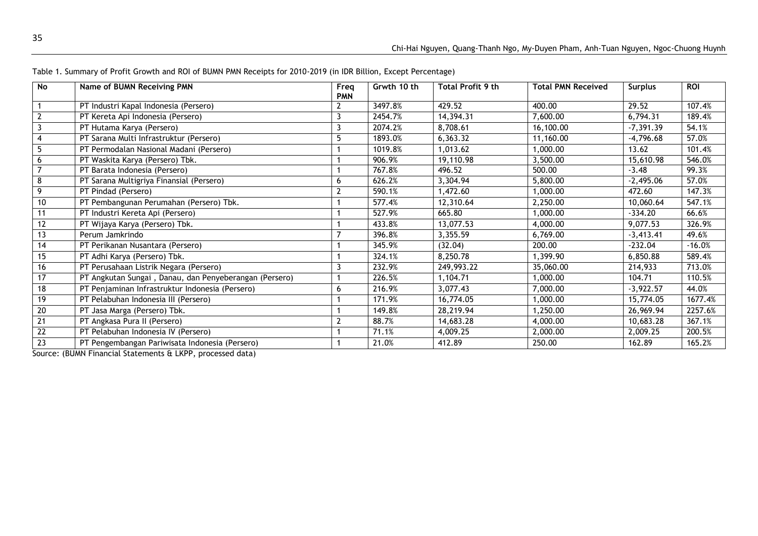| <b>No</b> | Name of BUMN Receiving PMN                             | Freq<br><b>PMN</b> | Grwth 10 th | <b>Total Profit 9 th</b> | <b>Total PMN Received</b> | <b>Surplus</b> | <b>ROI</b> |
|-----------|--------------------------------------------------------|--------------------|-------------|--------------------------|---------------------------|----------------|------------|
|           | PT Industri Kapal Indonesia (Persero)                  | 2                  | 3497.8%     | 429.52                   | 400.00                    | 29.52          | 107.4%     |
|           | PT Kereta Api Indonesia (Persero)                      | 3                  | 2454.7%     | 14,394.31                | 7,600.00                  | 6,794.31       | 189.4%     |
|           | PT Hutama Karya (Persero)                              | 3                  | 2074.2%     | 8,708.61                 | 16,100.00                 | $-7,391.39$    | 54.1%      |
|           | PT Sarana Multi Infrastruktur (Persero)                |                    | 1893.0%     | 6,363.32                 | 11,160.00                 | $-4,796.68$    | 57.0%      |
|           | PT Permodalan Nasional Madani (Persero)                |                    | 1019.8%     | 1,013.62                 | 1,000.00                  | 13.62          | 101.4%     |
| 6         | PT Waskita Karya (Persero) Tbk.                        |                    | 906.9%      | 19,110.98                | 3,500.00                  | 15,610.98      | 546.0%     |
|           | PT Barata Indonesia (Persero)                          |                    | 767.8%      | 496.52                   | 500.00                    | $-3.48$        | 99.3%      |
| 8         | PT Sarana Multigriya Finansial (Persero)               | 6                  | 626.2%      | 3,304.94                 | 5,800.00                  | $-2,495.06$    | 57.0%      |
| 9         | PT Pindad (Persero)                                    | $\overline{2}$     | 590.1%      | 1,472.60                 | 1,000.00                  | 472.60         | 147.3%     |
| 10        | PT Pembangunan Perumahan (Persero) Tbk.                |                    | 577.4%      | 12,310.64                | 2,250.00                  | 10,060.64      | 547.1%     |
| 11        | PT Industri Kereta Api (Persero)                       |                    | 527.9%      | 665.80                   | 1,000.00                  | $-334.20$      | 66.6%      |
| 12        | PT Wijaya Karya (Persero) Tbk.                         |                    | 433.8%      | 13,077.53                | 4,000.00                  | 9,077.53       | 326.9%     |
| 13        | Perum Jamkrindo                                        |                    | 396.8%      | 3,355.59                 | 6,769.00                  | $-3,413.41$    | 49.6%      |
| 14        | PT Perikanan Nusantara (Persero)                       |                    | 345.9%      | (32.04)                  | 200.00                    | $-232.04$      | $-16.0%$   |
| 15        | PT Adhi Karya (Persero) Tbk.                           |                    | 324.1%      | 8,250.78                 | 1,399.90                  | 6,850.88       | 589.4%     |
| 16        | PT Perusahaan Listrik Negara (Persero)                 |                    | 232.9%      | 249,993.22               | 35,060.00                 | 214,933        | 713.0%     |
| 17        | PT Angkutan Sungai, Danau, dan Penyeberangan (Persero) |                    | 226.5%      | 1,104.71                 | 1,000.00                  | 104.71         | 110.5%     |
| 18        | PT Penjaminan Infrastruktur Indonesia (Persero)        | 6                  | 216.9%      | 3,077.43                 | 7,000.00                  | $-3,922.57$    | 44.0%      |
| 19        | PT Pelabuhan Indonesia III (Persero)                   |                    | 171.9%      | 16,774.05                | 1,000.00                  | 15,774.05      | 1677.4%    |
| 20        | PT Jasa Marga (Persero) Tbk.                           |                    | 149.8%      | 28,219.94                | 1,250.00                  | 26,969.94      | 2257.6%    |
| 21        | PT Angkasa Pura II (Persero)                           |                    | 88.7%       | 14,683.28                | 4,000.00                  | 10,683.28      | 367.1%     |
| 22        | PT Pelabuhan Indonesia IV (Persero)                    |                    | 71.1%       | 4,009.25                 | 2,000.00                  | 2,009.25       | 200.5%     |
| 23        | PT Pengembangan Pariwisata Indonesia (Persero)         |                    | 21.0%       | 412.89                   | 250.00                    | 162.89         | 165.2%     |

Table 1. Summary of Profit Growth and ROI of BUMN PMN Receipts for 2010-2019 (in IDR Billion, Except Percentage)

Source: (BUMN Financial Statements & LKPP, processed data)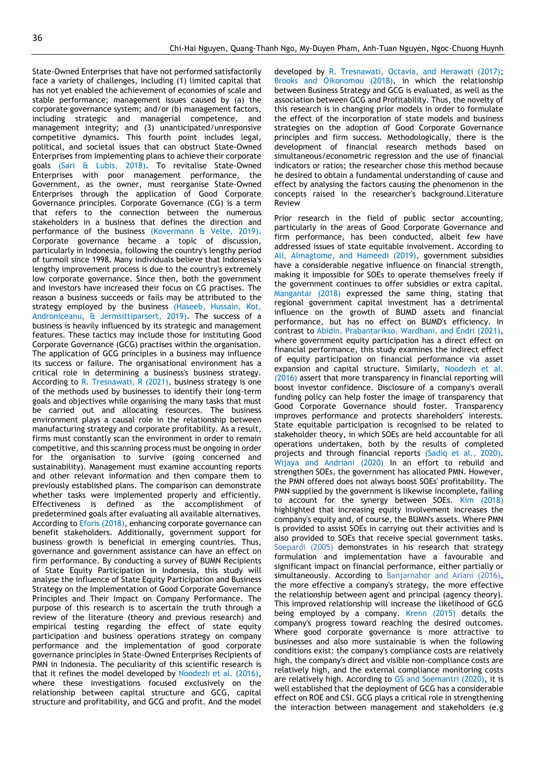State-Owned Enterprises that have not performed satisfactorily face a variety of challenges, including (1) limited capital that has not yet enabled the achievement of economies of scale and stable performance; management issues caused by (a) the corporate governance system; and/or (b) management factors, including strategic and managerial competence, and management integrity; and (3) unanticipated/unresponsive competitive dynamics. This fourth point includes legal, political, and societal issues that can obstruct State-Owned Enterprises from implementing plans to achieve their corporate goals (Sari & Lubis, 2018). To revitalise State-Owned Enterprises with poor management performance, the Government, as the owner, must reorganise State-Owned Enterprises through the application of Good Corporate Governance principles. Corporate Governance (CG) is a term that refers to the connection between the numerous stakeholders in a business that defines the direction and performance of the business (Kovermann & Velte, 2019). Corporate governance became a topic of discussion, particularly in Indonesia, following the country's lengthy period of turmoil since 1998. Many individuals believe that Indonesia's lengthy improvement process is due to the country's extremely low corporate governance. Since then, both the government and investors have increased their focus on CG practises. The reason a business succeeds or fails may be attributed to the strategy employed by the business (Haseeb, Hussain, Kot, Androniceanu, & Jermsittiparsert, 2019). The success of a business is heavily influenced by its strategic and management features. These tactics may include those for instituting Good Corporate Governance (GCG) practises within the organisation. The application of GCG principles in a business may influence its success or failure. The organisational environment has a critical role in determining a business's business strategy. According to R. Tresnawati, R (2021), business strategy is one of the methods used by businesses to identify their long-term goals and objectives while organising the many tasks that must be carried out and allocating resources. The business environment plays a causal role in the relationship between manufacturing strategy and corporate profitability. As a result, firms must constantly scan the environment in order to remain competitive, and this scanning process must be ongoing in order for the organisation to survive (going concerned and sustainability). Management must examine accounting reports and other relevant information and then compare them to previously established plans. The comparison can demonstrate whether tasks were implemented properly and efficiently. Effectiveness is defined as the accomplishment of predetermined goals after evaluating all available alternatives. According to Eforis (2018), enhancing corporate governance can benefit stakeholders. Additionally, government support for business growth is beneficial in emerging countries. Thus, governance and government assistance can have an effect on firm performance. By conducting a survey of BUMN Recipients of State Equity Participation in Indonesia, this study will analyse the influence of State Equity Participation and Business Strategy on the Implementation of Good Corporate Governance Principles and Their Impact on Company Performance. The purpose of this research is to ascertain the truth through a review of the literature (theory and previous research) and empirical testing regarding the effect of state equity participation and business operations strategy on company performance and the implementation of good corporate governance principles in State-Owned Enterprises Recipients of PMN in Indonesia. The peculiarity of this scientific research is that it refines the model developed by Noodezh et al. (2016), where these investigations focused exclusively on the relationship between capital structure and GCG, capital structure and profitability, and GCG and profit. And the model

developed by R. Tresnawati, Octavia, and Herawati (2017); Brooks and Oikonomou (2018), in which the relationship between Business Strategy and GCG is evaluated, as well as the association between GCG and Profitability. Thus, the novelty of this research is in changing prior models in order to formulate the effect of the incorporation of state models and business strategies on the adoption of Good Corporate Governance principles and firm success. Methodologically, there is the development of financial research methods based on simultaneous/econometric regression and the use of financial indicators or ratios; the researcher chose this method because he desired to obtain a fundamental understanding of cause and effect by analysing the factors causing the phenomenon in the concepts raised in the researcher's background.Literature Review

Prior research in the field of public sector accounting, particularly in the areas of Good Corporate Governance and firm performance, has been conducted, albeit few have addressed issues of state equitable involvement. According to Ali, Almagtome, and Hameedi (2019), government subsidies have a considerable negative influence on financial strength, making it impossible for SOEs to operate themselves freely if the government continues to offer subsidies or extra capital. Mangantar (2018) expressed the same thing, stating that regional government capital investment has a detrimental influence on the growth of BUMD assets and financial performance, but has no effect on BUMD's efficiency. In contrast to Abidin, Prabantarikso, Wardhani, and Endri (2021), where government equity participation has a direct effect on financial performance, this study examines the indirect effect of equity participation on financial performance via asset expansion and capital structure. Similarly, Noodezh et al. (2016) assert that more transparency in financial reporting will boost investor confidence. Disclosure of a company's overall funding policy can help foster the image of transparency that Good Corporate Governance should foster. Transparency improves performance and protects shareholders' interests. State equitable participation is recognised to be related to stakeholder theory, in which SOEs are held accountable for all operations undertaken, both by the results of completed projects and through financial reports (Sadiq et al., 2020). Wijaya and Andriani (2020) In an effort to rebuild and strengthen SOEs, the government has allocated PMN. However, the PMN offered does not always boost SOEs' profitability. The PMN supplied by the government is likewise incomplete, failing to account for the synergy between SOEs. Kim (2018) highlighted that increasing equity involvement increases the company's equity and, of course, the BUMN's assets. Where PMN is provided to assist SOEs in carrying out their activities and is also provided to SOEs that receive special government tasks. Soepardi (2005) demonstrates in his research that strategy formulation and implementation have a favourable and significant impact on financial performance, either partially or simultaneously. According to Banjarnahor and Ariani (2016), the more effective a company's strategy, the more effective the relationship between agent and principal (agency theory). This improved relationship will increase the likelihood of GCG being employed by a company. Krenn (2015) details the company's progress toward reaching the desired outcomes. Where good corporate governance is more attractive to businesses and also more sustainable is when the following conditions exist: the company's compliance costs are relatively high, the company's direct and visible non-compliance costs are relatively high, and the external compliance monitoring costs are relatively high. According to GS and Soemantri (2020), it is well established that the deployment of GCG has a considerable effect on ROE and CSI. GCG plays a critical role in strengthening the interaction between management and stakeholders (e.g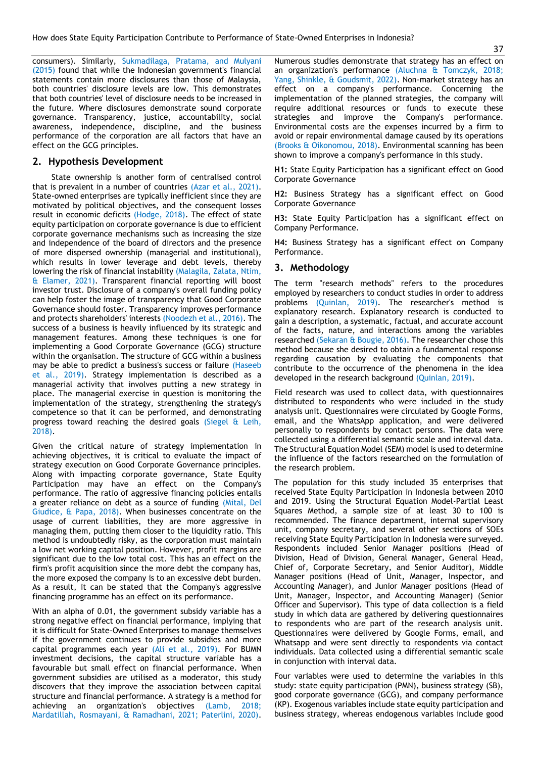consumers). Similarly, Sukmadilaga, Pratama, and Mulyani (2015) found that while the Indonesian government's financial statements contain more disclosures than those of Malaysia, both countries' disclosure levels are low. This demonstrates that both countries' level of disclosure needs to be increased in the future. Where disclosures demonstrate sound corporate governance. Transparency, justice, accountability, social awareness, independence, discipline, and the business performance of the corporation are all factors that have an effect on the GCG principles.

#### **2. Hypothesis Development**

State ownership is another form of centralised control that is prevalent in a number of countries (Azar et al., 2021). State-owned enterprises are typically inefficient since they are motivated by political objectives, and the consequent losses result in economic deficits (Hodge, 2018). The effect of state equity participation on corporate governance is due to efficient corporate governance mechanisms such as increasing the size and independence of the board of directors and the presence of more dispersed ownership (managerial and institutional), which results in lower leverage and debt levels, thereby lowering the risk of financial instability (Malagila, Zalata, Ntim, & Elamer, 2021). Transparent financial reporting will boost investor trust. Disclosure of a company's overall funding policy can help foster the image of transparency that Good Corporate Governance should foster. Transparency improves performance and protects shareholders' interests (Noodezh et al., 2016). The success of a business is heavily influenced by its strategic and management features. Among these techniques is one for implementing a Good Corporate Governance (GCG) structure within the organisation. The structure of GCG within a business may be able to predict a business's success or failure (Haseeb et al., 2019). Strategy implementation is described as a managerial activity that involves putting a new strategy in place. The managerial exercise in question is monitoring the implementation of the strategy, strengthening the strategy's competence so that it can be performed, and demonstrating progress toward reaching the desired goals (Siegel & Leih, 2018).

Given the critical nature of strategy implementation in achieving objectives, it is critical to evaluate the impact of strategy execution on Good Corporate Governance principles. Along with impacting corporate governance, State Equity Participation may have an effect on the Company's performance. The ratio of aggressive financing policies entails a greater reliance on debt as a source of funding (Mital, Del Giudice, & Papa, 2018). When businesses concentrate on the usage of current liabilities, they are more aggressive in managing them, putting them closer to the liquidity ratio. This method is undoubtedly risky, as the corporation must maintain a low net working capital position. However, profit margins are significant due to the low total cost. This has an effect on the firm's profit acquisition since the more debt the company has, the more exposed the company is to an excessive debt burden. As a result, it can be stated that the Company's aggressive financing programme has an effect on its performance.

With an alpha of 0.01, the government subsidy variable has a strong negative effect on financial performance, implying that it is difficult for State-Owned Enterprises to manage themselves if the government continues to provide subsidies and more capital programmes each year (Ali et al., 2019). For BUMN investment decisions, the capital structure variable has a favourable but small effect on financial performance. When government subsidies are utilised as a moderator, this study discovers that they improve the association between capital structure and financial performance. A strategy is a method for achieving an organization's objectives (Lamb, 2018; Mardatillah, Rosmayani, & Ramadhani, 2021; Paterlini, 2020).

Numerous studies demonstrate that strategy has an effect on an organization's performance (Aluchna & Tomczyk, 2018; Yang, Shinkle, & Goudsmit, 2022). Non-market strategy has an effect on a company's performance. Concerning the implementation of the planned strategies, the company will require additional resources or funds to execute these strategies and improve the Company's performance. Environmental costs are the expenses incurred by a firm to avoid or repair environmental damage caused by its operations (Brooks & Oikonomou, 2018). Environmental scanning has been shown to improve a company's performance in this study.

**H1:** State Equity Participation has a significant effect on Good Corporate Governance

**H2:** Business Strategy has a significant effect on Good Corporate Governance

**H3:** State Equity Participation has a significant effect on Company Performance.

**H4:** Business Strategy has a significant effect on Company Performance.

#### **3. Methodology**

The term "research methods" refers to the procedures employed by researchers to conduct studies in order to address problems (Quinlan, 2019). The researcher's method is explanatory research. Explanatory research is conducted to gain a description, a systematic, factual, and accurate account of the facts, nature, and interactions among the variables researched (Sekaran & Bougie, 2016). The researcher chose this method because she desired to obtain a fundamental response regarding causation by evaluating the components that contribute to the occurrence of the phenomena in the idea developed in the research background (Quinlan, 2019).

Field research was used to collect data, with questionnaires distributed to respondents who were included in the study analysis unit. Questionnaires were circulated by Google Forms, email, and the WhatsApp application, and were delivered personally to respondents by contact persons. The data were collected using a differential semantic scale and interval data. The Structural Equation Model (SEM) model is used to determine the influence of the factors researched on the formulation of the research problem.

The population for this study included 35 enterprises that received State Equity Participation in Indonesia between 2010 and 2019. Using the Structural Equation Model-Partial Least Squares Method, a sample size of at least 30 to 100 is recommended. The finance department, internal supervisory unit, company secretary, and several other sections of SOEs receiving State Equity Participation in Indonesia were surveyed. Respondents included Senior Manager positions (Head of Division, Head of Division, General Manager, General Head, Chief of, Corporate Secretary, and Senior Auditor), Middle Manager positions (Head of Unit, Manager, Inspector, and Accounting Manager), and Junior Manager positions (Head of Unit, Manager, Inspector, and Accounting Manager) (Senior Officer and Supervisor). This type of data collection is a field study in which data are gathered by delivering questionnaires to respondents who are part of the research analysis unit. Questionnaires were delivered by Google Forms, email, and Whatsapp and were sent directly to respondents via contact individuals. Data collected using a differential semantic scale in conjunction with interval data.

Four variables were used to determine the variables in this study: state equity participation (PMN), business strategy (SB), good corporate governance (GCG), and company performance (KP). Exogenous variables include state equity participation and business strategy, whereas endogenous variables include good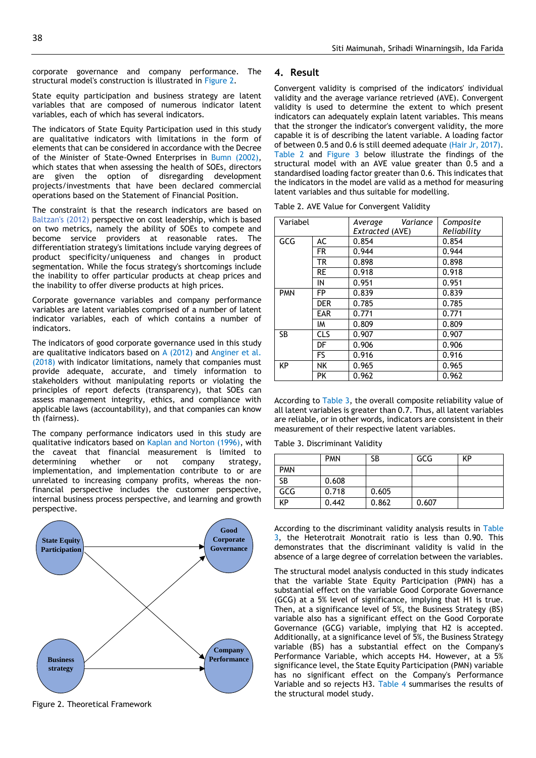corporate governance and company performance. The structural model's construction is illustrated in Figure 2.

State equity participation and business strategy are latent variables that are composed of numerous indicator latent variables, each of which has several indicators.

The indicators of State Equity Participation used in this study are qualitative indicators with limitations in the form of elements that can be considered in accordance with the Decree of the Minister of State-Owned Enterprises in Bumn (2002), which states that when assessing the health of SOEs, directors are given the option of disregarding development projects/investments that have been declared commercial operations based on the Statement of Financial Position.

The constraint is that the research indicators are based on Baltzan's (2012) perspective on cost leadership, which is based on two metrics, namely the ability of SOEs to compete and become service providers at reasonable rates. The differentiation strategy's limitations include varying degrees of product specificity/uniqueness and changes in product segmentation. While the focus strategy's shortcomings include the inability to offer particular products at cheap prices and the inability to offer diverse products at high prices.

Corporate governance variables and company performance variables are latent variables comprised of a number of latent indicator variables, each of which contains a number of indicators.

The indicators of good corporate governance used in this study are qualitative indicators based on  $A$  (2012) and Anginer et al. (2018) with indicator limitations, namely that companies must provide adequate, accurate, and timely information to stakeholders without manipulating reports or violating the principles of report defects (transparency), that SOEs can assess management integrity, ethics, and compliance with applicable laws (accountability), and that companies can know th (fairness).

The company performance indicators used in this study are qualitative indicators based on Kaplan and Norton (1996), with the caveat that financial measurement is limited to determining whether or not company strategy, implementation, and implementation contribute to or are unrelated to increasing company profits, whereas the nonfinancial perspective includes the customer perspective, internal business process perspective, and learning and growth perspective.



Figure 2. Theoretical Framework

#### **4. Result**

Convergent validity is comprised of the indicators' individual validity and the average variance retrieved (AVE). Convergent validity is used to determine the extent to which present indicators can adequately explain latent variables. This means that the stronger the indicator's convergent validity, the more capable it is of describing the latent variable. A loading factor of between 0.5 and 0.6 is still deemed adequate (Hair Jr, 2017). Table 2 and Figure 3 below illustrate the findings of the structural model with an AVE value greater than 0.5 and a standardised loading factor greater than 0.6. This indicates that the indicators in the model are valid as a method for measuring latent variables and thus suitable for modelling.

Table 2. AVE Value for Convergent Validity

| Variabel   |            | Variance<br>Average<br>Extracted (AVE) | Composite<br>Reliability |
|------------|------------|----------------------------------------|--------------------------|
| GCG        | AC         | 0.854                                  | 0.854                    |
|            | FR         | 0.944                                  | 0.944                    |
|            | TR         | 0.898                                  | 0.898                    |
|            | <b>RE</b>  | 0.918                                  | 0.918                    |
|            | IN         | 0.951                                  | 0.951                    |
| <b>PMN</b> | FP         | 0.839                                  | 0.839                    |
|            | <b>DER</b> | 0.785                                  | 0.785                    |
|            | <b>EAR</b> | 0.771                                  | 0.771                    |
|            | IM         | 0.809                                  | 0.809                    |
| <b>SB</b>  | <b>CLS</b> | 0.907                                  | 0.907                    |
|            | DF         | 0.906                                  | 0.906                    |
|            | FS.        | 0.916                                  | 0.916                    |
| KP         | NΚ         | 0.965                                  | 0.965                    |
|            | РK         | 0.962                                  | 0.962                    |

According to Table 3, the overall composite reliability value of all latent variables is greater than 0.7. Thus, all latent variables are reliable, or in other words, indicators are consistent in their measurement of their respective latent variables.

Table 3. Discriminant Validity

|            | <b>PMN</b> | SB    | GCG   | KP |
|------------|------------|-------|-------|----|
| <b>PMN</b> |            |       |       |    |
| <b>SB</b>  | 0.608      |       |       |    |
| GCG        | 0.718      | 0.605 |       |    |
| ΚP         | 0.442      | 0.862 | 0.607 |    |

According to the discriminant validity analysis results in Table 3, the Heterotrait Monotrait ratio is less than 0.90. This demonstrates that the discriminant validity is valid in the absence of a large degree of correlation between the variables.

The structural model analysis conducted in this study indicates that the variable State Equity Participation (PMN) has a substantial effect on the variable Good Corporate Governance (GCG) at a 5% level of significance, implying that H1 is true. Then, at a significance level of 5%, the Business Strategy (BS) variable also has a significant effect on the Good Corporate Governance (GCG) variable, implying that H2 is accepted. Additionally, at a significance level of 5%, the Business Strategy variable (BS) has a substantial effect on the Company's Performance Variable, which accepts H4. However, at a 5% significance level, the State Equity Participation (PMN) variable has no significant effect on the Company's Performance Variable and so rejects H3. Table 4 summarises the results of the structural model study.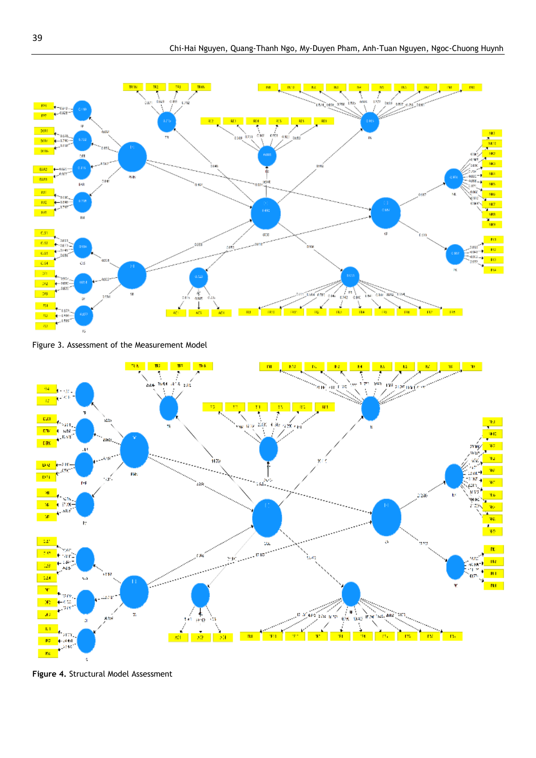

Figure 3. Assessment of the Measurement Model



**Figure 4.** Structural Model Assessment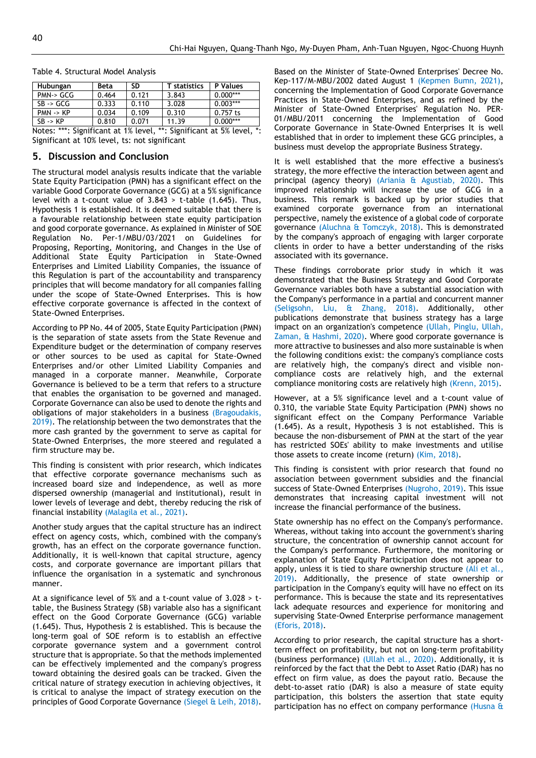| Hubungan                                                                  | <b>Beta</b> | <b>SD</b> | <b>T</b> statistics | P Values   |  |
|---------------------------------------------------------------------------|-------------|-----------|---------------------|------------|--|
| PMN-> GCG                                                                 | 0.464       | 0.121     | 3.843               | $0.000***$ |  |
| SB > GCG                                                                  | 0.333       | 0.110     | 3.028               | $0.003***$ |  |
| $PMN \rightarrow KP$                                                      | 0.034       | 0.109     | 0.310               | $0.757$ ts |  |
| $SB \rightarrow KP$                                                       | 0.810       | 0.071     | 11.39               | $0.000***$ |  |
| *<br>Notes: ***: Significant at 1% level.<br>**: Significant at 5% level. |             |           |                     |            |  |

Table 4. Structural Model Analysis

\*: Significant at 1% level, \*\*: Significant at 5% level, \*: Significant at 10% level, ts: not significant

#### **5. Discussion and Conclusion**

The structural model analysis results indicate that the variable State Equity Participation (PMN) has a significant effect on the variable Good Corporate Governance (GCG) at a 5% significance level with a t-count value of  $3.843 >$  t-table (1.645). Thus, Hypothesis 1 is established. It is deemed suitable that there is a favourable relationship between state equity participation and good corporate governance. As explained in Minister of SOE Regulation No. Per-1/MBU/03/2021 on Guidelines for Proposing, Reporting, Monitoring, and Changes in the Use of Additional State Equity Participation in State-Owned Enterprises and Limited Liability Companies, the issuance of this Regulation is part of the accountability and transparency principles that will become mandatory for all companies falling under the scope of State-Owned Enterprises. This is how effective corporate governance is affected in the context of State-Owned Enterprises.

According to PP No. 44 of 2005, State Equity Participation (PMN) is the separation of state assets from the State Revenue and Expenditure budget or the determination of company reserves or other sources to be used as capital for State-Owned Enterprises and/or other Limited Liability Companies and managed in a corporate manner. Meanwhile, Corporate Governance is believed to be a term that refers to a structure that enables the organisation to be governed and managed. Corporate Governance can also be used to denote the rights and obligations of major stakeholders in a business (Bragoudakis, 2019). The relationship between the two demonstrates that the more cash granted by the government to serve as capital for State-Owned Enterprises, the more steered and regulated a firm structure may be.

This finding is consistent with prior research, which indicates that effective corporate governance mechanisms such as increased board size and independence, as well as more dispersed ownership (managerial and institutional), result in lower levels of leverage and debt, thereby reducing the risk of financial instability (Malagila et al., 2021).

Another study argues that the capital structure has an indirect effect on agency costs, which, combined with the company's growth, has an effect on the corporate governance function. Additionally, it is well-known that capital structure, agency costs, and corporate governance are important pillars that influence the organisation in a systematic and synchronous manner.

At a significance level of 5% and a t-count value of 3.028 > ttable, the Business Strategy (SB) variable also has a significant effect on the Good Corporate Governance (GCG) variable (1.645). Thus, Hypothesis 2 is established. This is because the long-term goal of SOE reform is to establish an effective corporate governance system and a government control structure that is appropriate. So that the methods implemented can be effectively implemented and the company's progress toward obtaining the desired goals can be tracked. Given the critical nature of strategy execution in achieving objectives, it is critical to analyse the impact of strategy execution on the principles of Good Corporate Governance (Siegel & Leih, 2018).

Based on the Minister of State-Owned Enterprises' Decree No. Kep-117/M-MBU/2002 dated August 1 (Kepmen Bumn, 2021), concerning the Implementation of Good Corporate Governance Practices in State-Owned Enterprises, and as refined by the Minister of State-Owned Enterprises' Regulation No. PER-01/MBU/2011 concerning the Implementation of Good Corporate Governance in State-Owned Enterprises It is well established that in order to implement these GCG principles, a business must develop the appropriate Business Strategy.

It is well established that the more effective a business's strategy, the more effective the interaction between agent and principal (agency theory) (Ariania & Agustiab, 2020). This improved relationship will increase the use of GCG in a business. This remark is backed up by prior studies that examined corporate governance from an international perspective, namely the existence of a global code of corporate governance (Aluchna & Tomczyk, 2018). This is demonstrated by the company's approach of engaging with larger corporate clients in order to have a better understanding of the risks associated with its governance.

These findings corroborate prior study in which it was demonstrated that the Business Strategy and Good Corporate Governance variables both have a substantial association with the Company's performance in a partial and concurrent manner (Seligsohn, Liu, & Zhang, 2018). Additionally, other publications demonstrate that business strategy has a large impact on an organization's competence (Ullah, Pinglu, Ullah, Zaman, & Hashmi, 2020). Where good corporate governance is more attractive to businesses and also more sustainable is when the following conditions exist: the company's compliance costs are relatively high, the company's direct and visible noncompliance costs are relatively high, and the external compliance monitoring costs are relatively high (Krenn, 2015).

However, at a 5% significance level and a t-count value of 0.310, the variable State Equity Participation (PMN) shows no significant effect on the Company Performance Variable (1.645). As a result, Hypothesis 3 is not established. This is because the non-disbursement of PMN at the start of the year has restricted SOEs' ability to make investments and utilise those assets to create income (return) (Kim, 2018).

This finding is consistent with prior research that found no association between government subsidies and the financial success of State-Owned Enterprises (Nugroho, 2019). This issue demonstrates that increasing capital investment will not increase the financial performance of the business.

State ownership has no effect on the Company's performance. Whereas, without taking into account the government's sharing structure, the concentration of ownership cannot account for the Company's performance. Furthermore, the monitoring or explanation of State Equity Participation does not appear to apply, unless it is tied to share ownership structure (Ali et al., 2019). Additionally, the presence of state ownership or participation in the Company's equity will have no effect on its performance. This is because the state and its representatives lack adequate resources and experience for monitoring and supervising State-Owned Enterprise performance management (Eforis, 2018).

According to prior research, the capital structure has a shortterm effect on profitability, but not on long-term profitability (business performance) (Ullah et al., 2020). Additionally, it is reinforced by the fact that the Debt to Asset Ratio (DAR) has no effect on firm value, as does the payout ratio. Because the debt-to-asset ratio (DAR) is also a measure of state equity participation, this bolsters the assertion that state equity participation has no effect on company performance (Husna &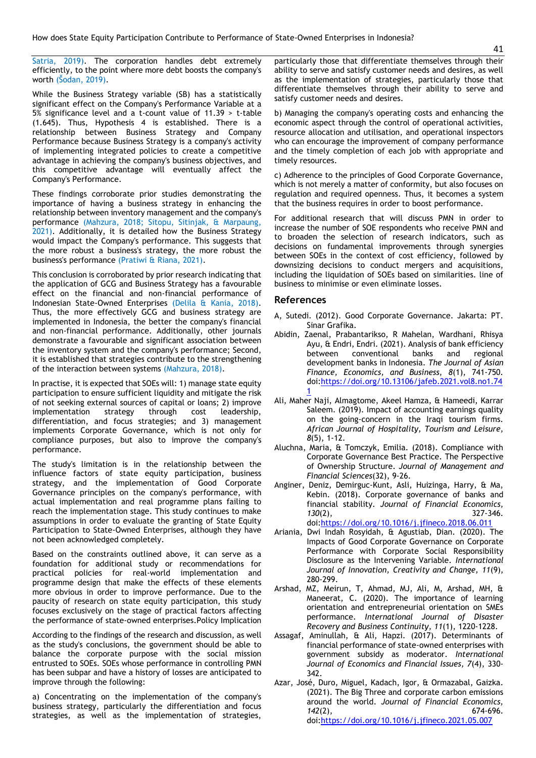Satria, 2019). The corporation handles debt extremely efficiently, to the point where more debt boosts the company's worth (Šodan, 2019).

While the Business Strategy variable (SB) has a statistically significant effect on the Company's Performance Variable at a 5% significance level and a t-count value of 11.39 > t-table (1.645). Thus, Hypothesis 4 is established. There is a relationship between Business Strategy and Company Performance because Business Strategy is a company's activity of implementing integrated policies to create a competitive advantage in achieving the company's business objectives, and this competitive advantage will eventually affect the Company's Performance.

These findings corroborate prior studies demonstrating the importance of having a business strategy in enhancing the relationship between inventory management and the company's performance (Mahzura, 2018; Sitopu, Sitinjak, & Marpaung, 2021). Additionally, it is detailed how the Business Strategy would impact the Company's performance. This suggests that the more robust a business's strategy, the more robust the business's performance (Pratiwi & Riana, 2021).

This conclusion is corroborated by prior research indicating that the application of GCG and Business Strategy has a favourable effect on the financial and non-financial performance of Indonesian State-Owned Enterprises (Delila & Kania, 2018). Thus, the more effectively GCG and business strategy are implemented in Indonesia, the better the company's financial and non-financial performance. Additionally, other journals demonstrate a favourable and significant association between the inventory system and the company's performance; Second, it is established that strategies contribute to the strengthening of the interaction between systems (Mahzura, 2018).

In practise, it is expected that SOEs will: 1) manage state equity participation to ensure sufficient liquidity and mitigate the risk of not seeking external sources of capital or loans; 2) improve implementation strategy through cost leadership, differentiation, and focus strategies; and 3) management implements Corporate Governance, which is not only for compliance purposes, but also to improve the company's performance.

The study's limitation is in the relationship between the influence factors of state equity participation, business strategy, and the implementation of Good Corporate Governance principles on the company's performance, with actual implementation and real programme plans failing to reach the implementation stage. This study continues to make assumptions in order to evaluate the granting of State Equity Participation to State-Owned Enterprises, although they have not been acknowledged completely.

Based on the constraints outlined above, it can serve as a foundation for additional study or recommendations for practical policies for real-world implementation and programme design that make the effects of these elements more obvious in order to improve performance. Due to the paucity of research on state equity participation, this study focuses exclusively on the stage of practical factors affecting the performance of state-owned enterprises.Policy Implication

According to the findings of the research and discussion, as well as the study's conclusions, the government should be able to balance the corporate purpose with the social mission entrusted to SOEs. SOEs whose performance in controlling PMN has been subpar and have a history of losses are anticipated to improve through the following:

a) Concentrating on the implementation of the company's business strategy, particularly the differentiation and focus strategies, as well as the implementation of strategies,

particularly those that differentiate themselves through their ability to serve and satisfy customer needs and desires, as well as the implementation of strategies, particularly those that differentiate themselves through their ability to serve and satisfy customer needs and desires.

b) Managing the company's operating costs and enhancing the economic aspect through the control of operational activities, resource allocation and utilisation, and operational inspectors who can encourage the improvement of company performance and the timely completion of each job with appropriate and timely resources.

c) Adherence to the principles of Good Corporate Governance, which is not merely a matter of conformity, but also focuses on regulation and required openness. Thus, it becomes a system that the business requires in order to boost performance.

For additional research that will discuss PMN in order to increase the number of SOE respondents who receive PMN and to broaden the selection of research indicators, such as decisions on fundamental improvements through synergies between SOEs in the context of cost efficiency, followed by downsizing decisions to conduct mergers and acquisitions, including the liquidation of SOEs based on similarities. line of business to minimise or even eliminate losses.

#### **References**

- A, Sutedi. (2012). Good Corporate Governance. Jakarta: PT. Sinar Grafika.
- Abidin, Zaenal, Prabantarikso, R Mahelan, Wardhani, Rhisya Ayu, & Endri, Endri. (2021). Analysis of bank efficiency between conventional banks and regional development banks in Indonesia. *The Journal of Asian Finance, Economics, and Business, 8*(1), 741-750. doi[:https://doi.org/10.13106/jafeb.2021.vol8.no1.74](https://doi.org/10.13106/jafeb.2021.vol8.no1.741) [1](https://doi.org/10.13106/jafeb.2021.vol8.no1.741)
- Ali, Maher Naji, Almagtome, Akeel Hamza, & Hameedi, Karrar Saleem. (2019). Impact of accounting earnings quality on the going-concern in the Iraqi tourism firms. *African Journal of Hospitality, Tourism and Leisure, 8*(5), 1-12.
- Aluchna, Maria, & Tomczyk, Emilia. (2018). Compliance with Corporate Governance Best Practice. The Perspective of Ownership Structure. *Journal of Management and Financial Sciences*(32), 9-26.
- Anginer, Deniz, Demirguc-Kunt, Asli, Huizinga, Harry, & Ma, Kebin. (2018). Corporate governance of banks and financial stability. *Journal of Financial Economics, 130*(2), 327-346.

doi[:https://doi.org/10.1016/j.jfineco.2018.06.011](https://doi.org/10.1016/j.jfineco.2018.06.011)

- Ariania, Dwi Indah Rosyidah, & Agustiab, Dian. (2020). The Impacts of Good Corporate Governance on Corporate Performance with Corporate Social Responsibility Disclosure as the Intervening Variable. *International Journal of Innovation, Creativity and Change, 11*(9), 280-299.
- Arshad, MZ, Meirun, T, Ahmad, MJ, Ali, M, Arshad, MH, & Maneerat, C. (2020). The importance of learning orientation and entrepreneurial orientation on SMEs performance. *International Journal of Disaster Recovery and Business Continuity, 11*(1), 1220-1228.
- Assagaf, Aminullah, & Ali, Hapzi. (2017). Determinants of financial performance of state-owned enterprises with government subsidy as moderator. *International Journal of Economics and Financial Issues, 7*(4), 330- 342.
- Azar, José, Duro, Miguel, Kadach, Igor, & Ormazabal, Gaizka. (2021). The Big Three and corporate carbon emissions around the world. *Journal of Financial Economics, 142*(2), 674-696. doi[:https://doi.org/10.1016/j.jfineco.2021.05.007](https://doi.org/10.1016/j.jfineco.2021.05.007)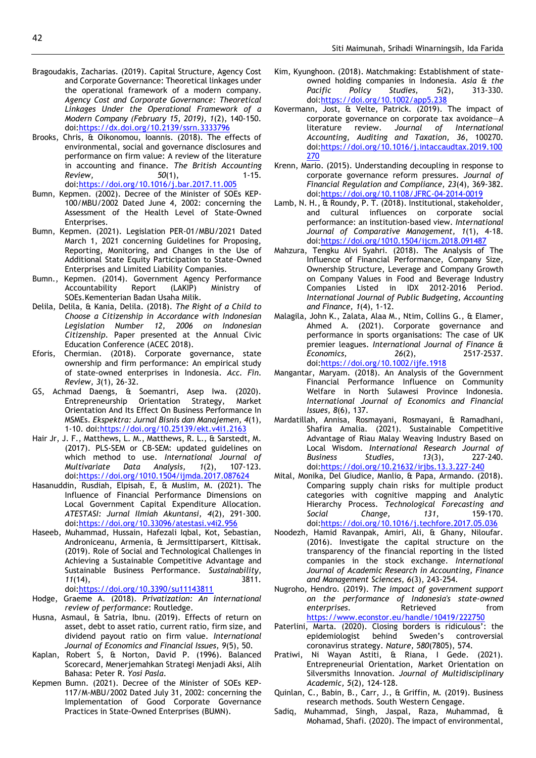- Bragoudakis, Zacharias. (2019). Capital Structure, Agency Cost and Corporate Governance: Theoretical linkages under the operational framework of a modern company. *Agency Cost and Corporate Governance: Theoretical Linkages Under the Operational Framework of a Modern Company (February 15, 2019), 1*(2), 140-150. doi[:https://dx.doi.org/10.2139/ssrn.3333796](https://dx.doi.org/10.2139/ssrn.3333796)
- Brooks, Chris, & Oikonomou, Ioannis. (2018). The effects of environmental, social and governance disclosures and performance on firm value: A review of the literature in accounting and finance. *The British Accounting Review,* 50(1), 1-15. doi[:https://doi.org/10.1016/j.bar.2017.11.005](https://doi.org/10.1016/j.bar.2017.11.005)
- Bumn, Kepmen. (2002). Decree of the Minister of SOEs KEP-100/MBU/2002 Dated June 4, 2002: concerning the Assessment of the Health Level of State-Owned Enterprises.
- Bumn, Kepmen. (2021). Legislation PER-01/MBU/2021 Dated March 1, 2021 concerning Guidelines for Proposing, Reporting, Monitoring, and Changes in the Use of Additional State Equity Participation to State-Owned Enterprises and Limited Liability Companies.
- Bumn., Kepmen. (2014). Government Agency Performance Accountability Report (LAKIP) Ministry of SOEs.Kementerian Badan Usaha Milik.
- Delila, Delila, & Kania, Delila. (2018). *The Right of a Child to Choose a Citizenship in Accordance with Indonesian Legislation Number 12, 2006 on Indonesian Citizenship.* Paper presented at the Annual Civic Education Conference (ACEC 2018).
- Eforis, Chermian. (2018). Corporate governance, state ownership and firm performance: An empirical study of state-owned enterprises in Indonesia. *Acc. Fin. Review, 3*(1), 26-32.
- GS, Achmad Daengs, & Soemantri, Asep Iwa. (2020). Entrepreneurship Orientation Strategy, Market Orientation And Its Effect On Business Performance In MSMEs. *Ekspektra: Jurnal Bisnis dan Manajemen, 4*(1), 1-10. doi[:https://doi.org/10.25139/ekt.v4i1.2163](https://doi.org/10.25139/ekt.v4i1.2163)
- Hair Jr, J. F., Matthews, L. M., Matthews, R. L., & Sarstedt, M. (2017). PLS-SEM or CB-SEM: updated guidelines on which method to use. *International Journal of Multivariate Data Analysis, 1*(2), 107-123. doi[:https://doi.org/1010.1504/ijmda.2017.087624](https://doi.org/1010.1504/ijmda.2017.087624)
- Hasanuddin, Rusdiah, Elpisah, E, & Muslim, M. (2021). The Influence of Financial Performance Dimensions on Local Government Capital Expenditure Allocation. *ATESTASI: Jurnal Ilmiah Akuntansi, 4*(2), 291-300. doi[:https://doi.org/10.33096/atestasi.v4i2.956](https://doi.org/10.33096/atestasi.v4i2.956)
- Haseeb, Muhammad, Hussain, Hafezali Iqbal, Kot, Sebastian, Androniceanu, Armenia, & Jermsittiparsert, Kittisak. (2019). Role of Social and Technological Challenges in Achieving a Sustainable Competitive Advantage and Sustainable Business Performance. *Sustainability, 11*(14), 3811. doi[:https://doi.org/10.3390/su11143811](https://doi.org/10.3390/su11143811)
- Hodge, Graeme A. (2018). *Privatization: An international*
- *review of performance*: Routledge. Husna, Asmaul, & Satria, Ibnu. (2019). Effects of return on asset, debt to asset ratio, current ratio, firm size, and dividend payout ratio on firm value. *International Journal of Economics and Financial Issues, 9*(5), 50.
- Kaplan, Robert S, & Norton, David P. (1996). Balanced Scorecard, Menerjemahkan Strategi Menjadi Aksi, Alih Bahasa: Peter R. *Yosi Pasla*.
- Kepmen Bumn. (2021). Decree of the Minister of SOEs KEP-117/M-MBU/2002 Dated July 31, 2002: concerning the Implementation of Good Corporate Governance Practices in State-Owned Enterprises (BUMN).
- Kim, Kyunghoon. (2018). Matchmaking: Establishment of stateowned holding companies in Indonesia. *Asia & the Pacific Policy Studies, 5*(2), 313-330. doi[:https://doi.org/10.1002/app5.238](https://doi.org/10.1002/app5.238)
- Kovermann, Jost, & Velte, Patrick. (2019). The impact of corporate governance on corporate tax avoidance—A literature review. *Journal of International Accounting, Auditing and Taxation, 36*, 100270. doi[:https://doi.org/10.1016/j.intaccaudtax.2019.100](https://doi.org/10.1016/j.intaccaudtax.2019.100270) [270](https://doi.org/10.1016/j.intaccaudtax.2019.100270)
- Krenn, Mario. (2015). Understanding decoupling in response to corporate governance reform pressures. *Journal of Financial Regulation and Compliance, 23*(4), 369-382. doi[:https://doi.org/10.1108/JFRC-04-2014-0019](https://doi.org/10.1108/JFRC-04-2014-0019)
- Lamb, N. H., & Roundy, P. T. (2018). Institutional, stakeholder, and cultural influences on corporate social performance: an institution-based view. *International Journal of Comparative Management, 1*(1), 4-18. doi[:https://doi.org/1010.1504/ijcm.2018.091487](https://doi.org/1010.1504/ijcm.2018.091487)
- Mahzura, Tengku Alvi Syahri. (2018). The Analysis of The Influence of Financial Performance, Company Size, Ownership Structure, Leverage and Company Growth on Company Values in Food and Beverage Industry Companies Listed in IDX 2012-2016 Period. *International Journal of Public Budgeting, Accounting and Finance, 1*(4), 1-12.
- Malagila, John K., Zalata, Alaa M., Ntim, Collins G., & Elamer, Ahmed A. (2021). Corporate governance and performance in sports organisations: The case of UK premier leagues. *International Journal of Finance & Economics, 26*(2), 2517-2537. doi[:https://doi.org/10.1002/ijfe.1918](https://doi.org/10.1002/ijfe.1918)
- Mangantar, Maryam. (2018). An Analysis of the Government Financial Performance Influence on Community Welfare in North Sulawesi Province Indonesia. *International Journal of Economics and Financial Issues, 8*(6), 137.
- Mardatillah, Annisa, Rosmayani, Rosmayani, & Ramadhani, Shafira Amalia. (2021). Sustainable Competitive Advantage of Riau Malay Weaving Industry Based on Local Wisdom. *International Research Journal of Business Studies, 13*(3), 227-240. doi[:https://doi.org/10.21632/irjbs.13.3.227-240](https://doi.org/10.21632/irjbs.13.3.227-240)
- Mital, Monika, Del Giudice, Manlio, & Papa, Armando. (2018). Comparing supply chain risks for multiple product categories with cognitive mapping and Analytic Hierarchy Process. *Technological Forecasting and Social Change, 131*, 159-170. doi[:https://doi.org/10.1016/j.techfore.2017.05.036](https://doi.org/10.1016/j.techfore.2017.05.036)
- Noodezh, Hamid Ravanpak, Amiri, Ali, & Ghany, Niloufar. (2016). Investigate the capital structure on the transparency of the financial reporting in the listed companies in the stock exchange. *International Journal of Academic Research in Accounting, Finance and Management Sciences, 6*(3), 243-254.
- Nugroho, Hendro. (2019). *The impact of government support on the performance of Indonesia's state-owned*  **enterprises.** Retrieved from <https://www.econstor.eu/handle/10419/222750>
- Paterlini, Marta. (2020). Closing borders is ridiculous': the epidemiologist behind Sweden's controversial coronavirus strategy. *Nature, 580*(7805), 574.
- Pratiwi, Ni Wayan Astiti, & Riana, I Gede. (2021). Entrepreneurial Orientation, Market Orientation on Silversmiths Innovation. *Journal of Multidisciplinary Academic, 5*(2), 124-128.
- Quinlan, C., Babin, B., Carr, J., & Griffin, M. (2019). Business research methods. South Western Cengage.
- Sadiq, Muhammad, Singh, Jaspal, Raza, Muhammad, & Mohamad, Shafi. (2020). The impact of environmental,